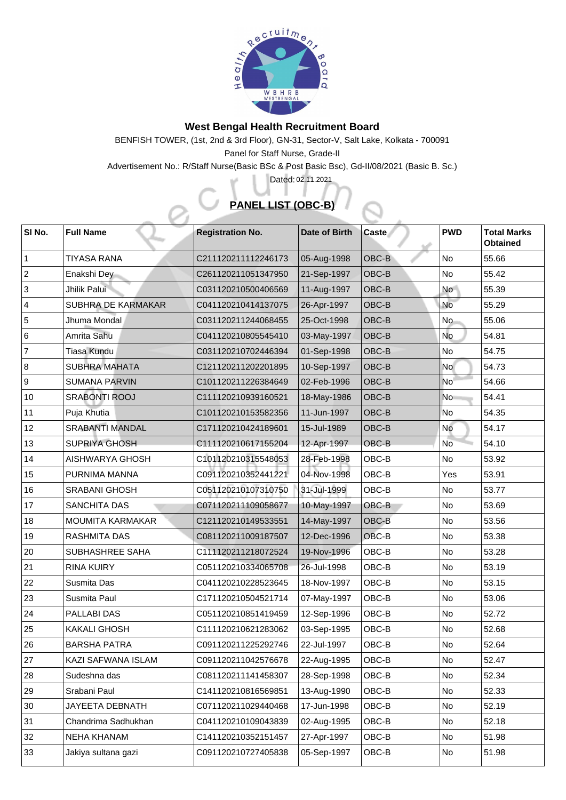

## **West Bengal Health Recruitment Board**

BENFISH TOWER, (1st, 2nd & 3rd Floor), GN-31, Sector-V, Salt Lake, Kolkata - 700091 Panel for Staff Nurse, Grade-II

Advertisement No.: R/Staff Nurse(Basic BSc & Post Basic Bsc), Gd-II/08/2021 (Basic B. Sc.)

## **PANEL LIST (OBC-B)**

Dated: 02.11.2021

| SI No.         | <b>Full Name</b>          | <b>Registration No.</b> | Date of Birth | <b>Caste</b> | <b>PWD</b>      | <b>Total Marks</b><br><b>Obtained</b> |
|----------------|---------------------------|-------------------------|---------------|--------------|-----------------|---------------------------------------|
|                | <b>TIYASA RANA</b>        | C211120211112246173     | 05-Aug-1998   | OBC-B        | No              | 55.66                                 |
| 2              | Enakshi Dey               | C261120211051347950     | 21-Sep-1997   | OBC-B        | <b>No</b>       | 55.42                                 |
| $\overline{3}$ | Jhilik Palui              | C031120210500406569     | 11-Aug-1997   | OBC-B        | <b>No</b>       | 55.39                                 |
| $\overline{4}$ | <b>SUBHRA DE KARMAKAR</b> | C041120210414137075     | 26-Apr-1997   | OBC-B        | No              | 55.29                                 |
| 5              | Jhuma Mondal              | C031120211244068455     | 25-Oct-1998   | OBC-B        | <b>No</b>       | 55.06                                 |
| 6              | Amrita Sahu               | C041120210805545410     | 03-May-1997   | <b>OBC-B</b> | No              | 54.81                                 |
| $\overline{7}$ | <b>Tiasa Kundu</b>        | C031120210702446394     | 01-Sep-1998   | OBC-B        | <b>No</b>       | 54.75                                 |
| 8              | <b>SUBHRA MAHATA</b>      | C121120211202201895     | 10-Sep-1997   | OBC-B        | <b>No</b>       | 54.73                                 |
| 9              | <b>SUMANA PARVIN</b>      | C101120211226384649     | 02-Feb-1996   | OBC-B        | No <sup>l</sup> | 54.66                                 |
| 10             | <b>SRABONTI ROOJ</b>      | C111120210939160521     | 18-May-1986   | OBC-B        | <b>No</b>       | 54.41                                 |
| 11             | Puja Khutia               | C101120210153582356     | 11-Jun-1997   | OBC-B        | No              | 54.35                                 |
| 12             | <b>SRABANTI MANDAL</b>    | C171120210424189601     | 15-Jul-1989   | OBC-B        | <b>No</b>       | 54.17                                 |
| 13             | <b>SUPRIYA GHOSH</b>      | C111120210617155204     | 12-Apr-1997   | OBC-B        | <b>No</b>       | 54.10                                 |
| 14             | <b>AISHWARYA GHOSH</b>    | C101120210315548053     | 28-Feb-1998   | OBC-B        | <b>No</b>       | 53.92                                 |
| 15             | PURNIMA MANNA             | C091120210352441221     | 04-Nov-1998   | OBC-B        | Yes             | 53.91                                 |
| 16             | <b>SRABANI GHOSH</b>      | C051120210107310750     | 31-Jul-1999   | OBC-B        | N <sub>o</sub>  | 53.77                                 |
| 17             | <b>SANCHITA DAS</b>       | C071120211109058677     | 10-May-1997   | OBC-B        | No              | 53.69                                 |
| 18             | <b>MOUMITA KARMAKAR</b>   | C121120210149533551     | 14-May-1997   | OBC-B        | No              | 53.56                                 |
| 19             | <b>RASHMITA DAS</b>       | C081120211009187507     | 12-Dec-1996   | OBC-B        | <b>No</b>       | 53.38                                 |
| 20             | <b>SUBHASHREE SAHA</b>    | C111120211218072524     | 19-Nov-1996   | OBC-B        | <b>No</b>       | 53.28                                 |
| 21             | <b>RINA KUIRY</b>         | C051120210334065708     | 26-Jul-1998   | OBC-B        | N <sub>o</sub>  | 53.19                                 |
| 22             | <b>Susmita Das</b>        | C041120210228523645     | 18-Nov-1997   | OBC-B        | <b>No</b>       | 53.15                                 |
| 23             | <b>Susmita Paul</b>       | C171120210504521714     | 07-May-1997   | OBC-B        | <b>No</b>       | 53.06                                 |
| 24             | <b>PALLABI DAS</b>        | C051120210851419459     | 12-Sep-1996   | OBC-B        | <b>No</b>       | 52.72                                 |
| 25             | <b>KAKALI GHOSH</b>       | C111120210621283062     | 03-Sep-1995   | OBC-B        | No              | 52.68                                 |
| 26             | <b>BARSHA PATRA</b>       | C091120211225292746     | 22-Jul-1997   | OBC-B        | <b>No</b>       | 52.64                                 |
| 27             | <b>KAZI SAFWANA ISLAM</b> | C091120211042576678     | 22-Aug-1995   | OBC-B        | <b>No</b>       | 52.47                                 |
| 28             | Sudeshna das              | C081120211141458307     | 28-Sep-1998   | OBC-B        | N <sub>o</sub>  | 52.34                                 |
| 29             | Srabani Paul              | C141120210816569851     | 13-Aug-1990   | OBC-B        | No              | 52.33                                 |
| 30             | <b>JAYEETA DEBNATH</b>    | C071120211029440468     | 17-Jun-1998   | OBC-B        | No              | 52.19                                 |
| 31             | Chandrima Sadhukhan       | C041120210109043839     | 02-Aug-1995   | OBC-B        | No              | 52.18                                 |
| 32             | <b>NEHA KHANAM</b>        | C141120210352151457     | 27-Apr-1997   | OBC-B        | <b>No</b>       | 51.98                                 |
| 33             | Jakiya sultana gazi       | C091120210727405838     | 05-Sep-1997   | OBC-B        | N <sub>o</sub>  | 51.98                                 |